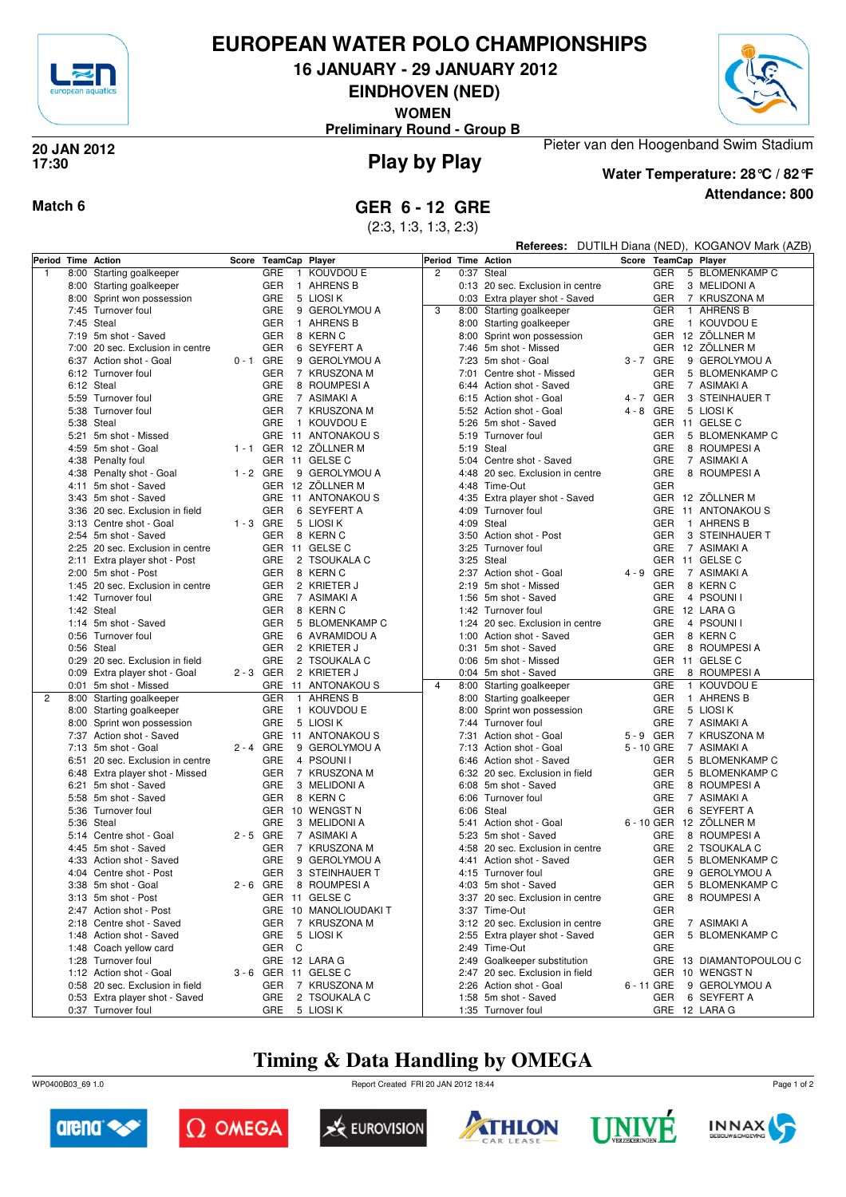

# **EUROPEAN WATER POLO CHAMPIONSHIPS**

**16 JANUARY - 29 JANUARY 2012**

**EINDHOVEN (NED)**

**WOMEN**

**Preliminary Round - Group B**



### **Play by Play 20 JAN 2012 17:30**



**Water Temperature: 28°C / 82°F**

Pieter van den Hoogenband Swim Stadium

**Attendance: 800**

### **Match 6 GER 6 - 12 GRE**

(2:3, 1:3, 1:3, 2:3)

|                |      |                                                   |             |                          |                             |                    |      |                                                    |                          |            | Referees: DUTILH Diana (NED), KOGANOV Mark (AZB) |
|----------------|------|---------------------------------------------------|-------------|--------------------------|-----------------------------|--------------------|------|----------------------------------------------------|--------------------------|------------|--------------------------------------------------|
|                |      | Period Time Action                                |             | Score TeamCap Player     |                             | Period Time Action |      |                                                    |                          |            | Score TeamCap Player                             |
| $\mathbf{1}$   |      | 8:00 Starting goalkeeper                          |             | GRE                      | 1 KOUVDOU E                 | $\overline{c}$     |      | 0:37 Steal                                         |                          | GER        | 5 BLOMENKAMP C                                   |
|                |      | 8:00 Starting goalkeeper                          |             | GER                      | 1 AHRENS B                  |                    |      | 0:13 20 sec. Exclusion in centre                   |                          | <b>GRE</b> | 3 MELIDONI A                                     |
|                |      | 8:00 Sprint won possession                        |             | GRE                      | 5 LIOSI K                   |                    |      | 0:03 Extra player shot - Saved                     |                          | GER        | 7 KRUSZONA M                                     |
|                |      | 7:45 Turnover foul                                |             | <b>GRE</b>               | 9 GEROLYMOU A               | 3                  |      | 8:00 Starting goalkeeper                           |                          | <b>GER</b> | 1 AHRENS B                                       |
|                |      | 7:45 Steal                                        |             | <b>GER</b>               | 1 AHRENS B                  |                    |      | 8:00 Starting goalkeeper                           |                          | GRE        | 1 KOUVDOU E                                      |
|                |      | 7:19 5m shot - Saved                              |             | <b>GER</b>               | 8 KERN C                    |                    |      | 8:00 Sprint won possession                         |                          |            | GER 12 ZÖLLNER M                                 |
|                |      | 7:00 20 sec. Exclusion in centre                  |             | <b>GER</b>               | 6 SEYFERT A                 |                    |      | 7:46 5m shot - Missed                              |                          |            | GER 12 ZÖLLNER M                                 |
|                |      | 6:37 Action shot - Goal                           | $0 - 1$ GRE |                          | 9 GEROLYMOU A               |                    |      | 7:23 5m shot - Goal                                | 3-7 GRE                  |            | 9 GEROLYMOU A                                    |
|                |      | 6:12 Turnover foul                                |             | <b>GER</b>               | 7 KRUSZONA M                |                    | 7:01 | Centre shot - Missed                               |                          | GER        | 5 BLOMENKAMP C                                   |
|                |      | 6:12 Steal                                        |             | GRE                      | 8 ROUMPESI A                |                    |      | 6:44 Action shot - Saved                           |                          | <b>GRE</b> | 7 ASIMAKI A                                      |
|                |      | 5:59 Turnover foul<br>5:38 Turnover foul          |             | <b>GRE</b><br><b>GER</b> | 7 ASIMAKI A<br>7 KRUSZONA M |                    |      | 6:15 Action shot - Goal<br>5:52 Action shot - Goal | 4 - 7 GER<br>$4 - 8$ GRE |            | 3 STEINHAUER T<br>5 LIOSI K                      |
|                |      | 5:38 Steal                                        |             | GRE                      | 1 KOUVDOU E                 |                    | 5:26 | 5m shot - Saved                                    |                          |            | GER 11 GELSE C                                   |
|                |      | 5:21 5m shot - Missed                             |             |                          | GRE 11 ANTONAKOUS           |                    |      | 5:19 Turnover foul                                 |                          | GER        | 5 BLOMENKAMP C                                   |
|                |      | 4:59 5m shot - Goal                               |             |                          | 1-1 GER 12 ZÖLLNER M        |                    |      | 5:19 Steal                                         |                          | GRE        | 8 ROUMPESI A                                     |
|                |      | 4:38 Penalty foul                                 |             | GER 11 GELSE C           |                             |                    |      | 5:04 Centre shot - Saved                           |                          | GRE        | 7 ASIMAKI A                                      |
|                |      | 4:38 Penalty shot - Goal                          | $1 - 2$ GRE |                          | 9 GEROLYMOU A               |                    |      | 4:48 20 sec. Exclusion in centre                   |                          | GRE        | 8 ROUMPESI A                                     |
|                |      | 4:11 5m shot - Saved                              |             |                          | GER 12 ZÖLLNER M            |                    |      | 4:48 Time-Out                                      |                          | <b>GER</b> |                                                  |
|                |      | 3:43 5m shot - Saved                              |             |                          | GRE 11 ANTONAKOUS           |                    |      | 4:35 Extra player shot - Saved                     |                          |            | GER 12 ZÖLLNER M                                 |
|                |      | 3:36 20 sec. Exclusion in field                   |             | <b>GER</b>               | 6 SEYFERT A                 |                    |      | 4:09 Turnover foul                                 |                          |            | GRE 11 ANTONAKOUS                                |
|                |      | 3:13 Centre shot - Goal                           | $1 - 3$ GRE |                          | 5 LIOSI K                   |                    |      | 4:09 Steal                                         |                          | <b>GER</b> | 1 AHRENS B                                       |
|                |      | 2:54 5m shot - Saved                              |             | <b>GER</b>               | 8 KERN C                    |                    |      | 3:50 Action shot - Post                            |                          | GER        | 3 STEINHAUER T                                   |
|                |      | 2:25 20 sec. Exclusion in centre                  |             | GER 11 GELSE C           |                             |                    |      | 3:25 Turnover foul                                 |                          | GRE        | 7 ASIMAKI A                                      |
|                |      | 2:11 Extra player shot - Post                     |             | <b>GRE</b>               | 2 TSOUKALA C                |                    |      | 3:25 Steal                                         |                          |            | GER 11 GELSE C                                   |
|                |      | 2:00 5m shot - Post                               |             | <b>GER</b>               | 8 KERN C                    |                    |      | 2:37 Action shot - Goal                            | 4 - 9 GRE                |            | 7 ASIMAKI A                                      |
|                |      | 1:45 20 sec. Exclusion in centre                  |             | <b>GER</b>               | 2 KRIETER J                 |                    |      | 2:19 5m shot - Missed                              |                          | GER        | 8 KERN C                                         |
|                |      | 1:42 Turnover foul                                |             | GRE                      | 7 ASIMAKI A                 |                    |      | 1:56 5m shot - Saved                               |                          | GRE        | 4 PSOUNI I                                       |
|                |      | 1:42 Steal                                        |             | <b>GER</b>               | 8 KERN C                    |                    |      | 1:42 Turnover foul                                 |                          |            | GRE 12 LARA G                                    |
|                |      | 1:14 5m shot - Saved                              |             | <b>GER</b>               | 5 BLOMENKAMP C              |                    |      | 1:24 20 sec. Exclusion in centre                   |                          | GRE        | 4 PSOUNI I                                       |
|                |      | 0:56 Turnover foul                                |             | <b>GRE</b>               | 6 AVRAMIDOU A               |                    |      | 1:00 Action shot - Saved                           |                          | GER        | 8 KERN C                                         |
|                |      | 0:56 Steal                                        |             | <b>GER</b>               | 2 KRIETER J                 |                    |      | 0:31 5m shot - Saved                               |                          | GRE        | 8 ROUMPESI A                                     |
|                |      | 0:29 20 sec. Exclusion in field                   | 2-3 GER     | GRE                      | 2 TSOUKALA C<br>2 KRIETER J |                    |      | 0:06 5m shot - Missed                              |                          | GRE        | GER 11 GELSE C                                   |
|                | 0:01 | 0:09 Extra player shot - Goal<br>5m shot - Missed |             | <b>GRE</b>               | 11 ANTONAKOU S              | 4                  |      | 0:04 5m shot - Saved<br>8:00 Starting goalkeeper   |                          | GRE        | 8 ROUMPESI A<br>1 KOUVDOU E                      |
| $\overline{2}$ | 8:00 | Starting goalkeeper                               |             | <b>GER</b>               | 1 AHRENS B                  |                    |      | 8:00 Starting goalkeeper                           |                          | <b>GER</b> | 1 AHRENS B                                       |
|                |      | 8:00 Starting goalkeeper                          |             | GRE                      | 1 KOUVDOU E                 |                    |      | 8:00 Sprint won possession                         |                          | GRE        | 5 LIOSI K                                        |
|                |      | 8:00 Sprint won possession                        |             | <b>GRE</b>               | 5 LIOSI K                   |                    |      | 7:44 Turnover foul                                 |                          | GRE        | 7 ASIMAKI A                                      |
|                |      | 7:37 Action shot - Saved                          |             |                          | GRE 11 ANTONAKOUS           |                    |      | 7:31 Action shot - Goal                            | 5-9 GER                  |            | 7 KRUSZONA M                                     |
|                |      | 7:13 5m shot - Goal                               | $2 - 4$ GRE |                          | 9 GEROLYMOU A               |                    | 7:13 | Action shot - Goal                                 | 5 - 10 GRE               |            | 7 ASIMAKI A                                      |
|                |      | 6:51 20 sec. Exclusion in centre                  |             | <b>GRE</b>               | 4 PSOUNI I                  |                    |      | 6:46 Action shot - Saved                           |                          | GER        | 5 BLOMENKAMP C                                   |
|                |      | 6:48 Extra player shot - Missed                   |             | <b>GER</b>               | 7 KRUSZONA M                |                    |      | 6:32 20 sec. Exclusion in field                    |                          | <b>GER</b> | 5 BLOMENKAMP C                                   |
|                |      | 6:21 5m shot - Saved                              |             | GRE                      | 3 MELIDONI A                |                    |      | 6:08 5m shot - Saved                               |                          | GRE        | 8 ROUMPESI A                                     |
|                |      | 5:58 5m shot - Saved                              |             | <b>GER</b>               | 8 KERN C                    |                    | 6:06 | Turnover foul                                      |                          | GRE        | 7 ASIMAKI A                                      |
|                |      | 5:36 Turnover foul                                |             |                          | GER 10 WENGST N             |                    |      | 6:06 Steal                                         |                          | <b>GER</b> | 6 SEYFERT A                                      |
|                |      | 5:36 Steal                                        |             | GRE                      | 3 MELIDONI A                |                    |      | 5:41 Action shot - Goal                            |                          |            | 6 - 10 GER 12 ZÖLLNER M                          |
|                |      | 5:14 Centre shot - Goal                           | $2 - 5$ GRE |                          | 7 ASIMAKI A                 |                    |      | 5:23 5m shot - Saved                               |                          | GRE        | 8 ROUMPESI A                                     |
|                |      | 4:45 5m shot - Saved                              |             | <b>GER</b>               | 7 KRUSZONA M                |                    |      | 4:58 20 sec. Exclusion in centre                   |                          | GRE        | 2 TSOUKALA C                                     |
|                |      | 4:33 Action shot - Saved                          |             | GRE                      | 9 GEROLYMOU A               |                    |      | 4:41 Action shot - Saved                           |                          | GER        | 5 BLOMENKAMP C                                   |
|                |      | 4:04 Centre shot - Post                           |             | <b>GER</b>               | 3 STEINHAUER T              |                    |      | 4:15 Turnover foul<br>4:03 5m shot - Saved         |                          | GRE        | 9 GEROLYMOU A                                    |
|                |      | 3:38 5m shot - Goal                               |             | GER 11 GELSE C           | 2 - 6 GRE 8 ROUMPESIA       |                    |      | 3:37 20 sec. Exclusion in centre                   |                          |            | GER 5 BLOMENKAMP C<br>8 ROUMPESIA                |
|                |      | 3:13 5m shot - Post<br>2:47 Action shot - Post    |             |                          | GRE 10 MANOLIOUDAKIT        |                    |      | 3:37 Time-Out                                      |                          | GRE<br>GER |                                                  |
|                |      | 2:18 Centre shot - Saved                          |             | GER                      | 7 KRUSZONA M                |                    |      | 3:12 20 sec. Exclusion in centre                   |                          | GRE        | 7 ASIMAKI A                                      |
|                |      | 1:48 Action shot - Saved                          |             | <b>GRE</b>               | 5 LIOSI K                   |                    |      | 2:55 Extra player shot - Saved                     |                          | GER        | 5 BLOMENKAMP C                                   |
|                |      | 1:48 Coach yellow card                            |             | GER C                    |                             |                    |      | 2:49 Time-Out                                      |                          | GRE        |                                                  |
|                |      | 1:28 Turnover foul                                |             | GRE 12 LARA G            |                             |                    |      | 2:49 Goalkeeper substitution                       |                          |            | GRE 13 DIAMANTOPOULOU C                          |
|                |      | 1:12 Action shot - Goal                           |             | 3-6 GER 11 GELSE C       |                             |                    |      | 2:47 20 sec. Exclusion in field                    |                          |            | GER 10 WENGST N                                  |
|                |      | 0:58 20 sec. Exclusion in field                   |             | GER                      | 7 KRUSZONA M                |                    |      | 2:26 Action shot - Goal                            |                          | 6 - 11 GRE | 9 GEROLYMOU A                                    |
|                |      | 0:53 Extra player shot - Saved                    |             | <b>GRE</b>               | 2 TSOUKALA C                |                    |      | 1:58 5m shot - Saved                               |                          | GER        | 6 SEYFERT A                                      |
|                |      | 0:37 Turnover foul                                |             | GRE 5 LIOSIK             |                             |                    |      | 1:35 Turnover foul                                 |                          |            | GRE 12 LARA G                                    |

# **Timing & Data Handling by OMEGA**

WP0400B03\_69 1.0 Report Created FRI 20 JAN 2012 18:44













Page 1 of 2